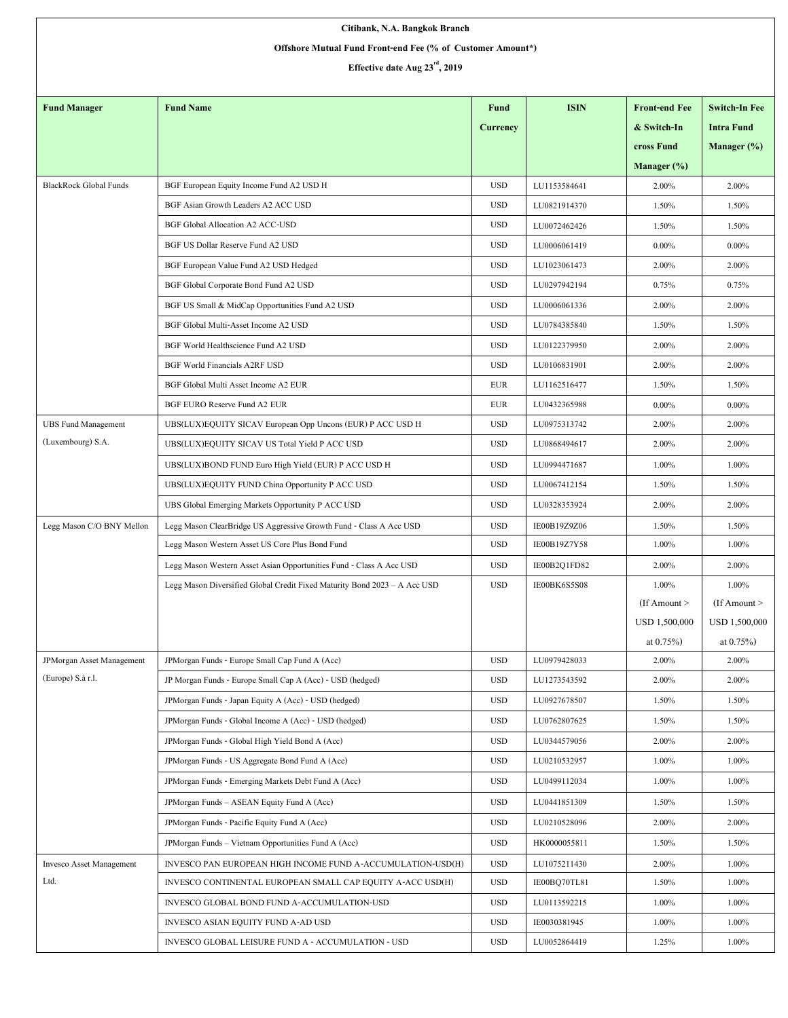| Citibank, N.A. Bangkok Branch                              |                                                                           |                 |              |                      |                      |  |  |  |  |  |
|------------------------------------------------------------|---------------------------------------------------------------------------|-----------------|--------------|----------------------|----------------------|--|--|--|--|--|
| Offshore Mutual Fund Front-end Fee (% of Customer Amount*) |                                                                           |                 |              |                      |                      |  |  |  |  |  |
| Effective date Aug 23 <sup>rd</sup> , 2019                 |                                                                           |                 |              |                      |                      |  |  |  |  |  |
|                                                            |                                                                           |                 |              |                      |                      |  |  |  |  |  |
| <b>Fund Manager</b>                                        | <b>Fund Name</b>                                                          | <b>Fund</b>     | <b>ISIN</b>  | <b>Front-end Fee</b> | <b>Switch-In Fee</b> |  |  |  |  |  |
|                                                            |                                                                           | <b>Currency</b> |              | & Switch-In          | <b>Intra Fund</b>    |  |  |  |  |  |
|                                                            |                                                                           |                 |              | cross Fund           | Manager $(\%)$       |  |  |  |  |  |
|                                                            |                                                                           |                 |              | Manager $(\% )$      |                      |  |  |  |  |  |
| <b>BlackRock Global Funds</b>                              | BGF European Equity Income Fund A2 USD H                                  | <b>USD</b>      | LU1153584641 | 2.00%                | 2.00%                |  |  |  |  |  |
|                                                            | BGF Asian Growth Leaders A2 ACC USD                                       | <b>USD</b>      | LU0821914370 | 1.50%                | 1.50%                |  |  |  |  |  |
|                                                            | <b>BGF Global Allocation A2 ACC-USD</b>                                   | <b>USD</b>      | LU0072462426 | 1.50%                | 1.50%                |  |  |  |  |  |
|                                                            | BGF US Dollar Reserve Fund A2 USD                                         | <b>USD</b>      | LU0006061419 | $0.00\%$             | $0.00\%$             |  |  |  |  |  |
|                                                            | BGF European Value Fund A2 USD Hedged                                     | <b>USD</b>      | LU1023061473 | 2.00%                | 2.00%                |  |  |  |  |  |
|                                                            | BGF Global Corporate Bond Fund A2 USD                                     | <b>USD</b>      | LU0297942194 | 0.75%                | 0.75%                |  |  |  |  |  |
|                                                            | BGF US Small & MidCap Opportunities Fund A2 USD                           | <b>USD</b>      | LU0006061336 | 2.00%                | 2.00%                |  |  |  |  |  |
|                                                            | BGF Global Multi-Asset Income A2 USD                                      | <b>USD</b>      | LU0784385840 | 1.50%                | 1.50%                |  |  |  |  |  |
|                                                            | BGF World Healthscience Fund A2 USD                                       | <b>USD</b>      | LU0122379950 | 2.00%                | 2.00%                |  |  |  |  |  |
|                                                            | <b>BGF World Financials A2RF USD</b>                                      | <b>USD</b>      | LU0106831901 | 2.00%                | 2.00%                |  |  |  |  |  |
|                                                            | BGF Global Multi Asset Income A2 EUR                                      | <b>EUR</b>      | LU1162516477 | 1.50%                | 1.50%                |  |  |  |  |  |
|                                                            | BGF EURO Reserve Fund A2 EUR                                              | <b>EUR</b>      | LU0432365988 | $0.00\%$             | $0.00\%$             |  |  |  |  |  |
| <b>UBS Fund Management</b>                                 | UBS(LUX)EQUITY SICAV European Opp Uncons (EUR) P ACC USD H                | <b>USD</b>      | LU0975313742 | 2.00%                | 2.00%                |  |  |  |  |  |
| (Luxembourg) S.A.                                          | UBS(LUX)EQUITY SICAV US Total Yield P ACC USD                             | <b>USD</b>      | LU0868494617 | 2.00%                | 2.00%                |  |  |  |  |  |
|                                                            | UBS(LUX)BOND FUND Euro High Yield (EUR) P ACC USD H                       | <b>USD</b>      | LU0994471687 | 1.00%                | 1.00%                |  |  |  |  |  |
|                                                            | UBS(LUX)EQUITY FUND China Opportunity P ACC USD                           | <b>USD</b>      | LU0067412154 | 1.50%                | 1.50%                |  |  |  |  |  |
|                                                            | UBS Global Emerging Markets Opportunity P ACC USD                         | <b>USD</b>      | LU0328353924 | 2.00%                | 2.00%                |  |  |  |  |  |
| Legg Mason C/O BNY Mellon                                  | Legg Mason ClearBridge US Aggressive Growth Fund - Class A Acc USD        | <b>USD</b>      | IE00B19Z9Z06 | 1.50%                | 1.50%                |  |  |  |  |  |
|                                                            | Legg Mason Western Asset US Core Plus Bond Fund                           | <b>USD</b>      | IE00B19Z7Y58 | 1.00%                | 1.00%                |  |  |  |  |  |
|                                                            | Legg Mason Western Asset Asian Opportunities Fund - Class A Acc USD       | <b>USD</b>      | IE00B2Q1FD82 | 2.00%                | 2.00%                |  |  |  |  |  |
|                                                            | Legg Mason Diversified Global Credit Fixed Maturity Bond 2023 - A Acc USD | <b>USD</b>      | IE00BK6S5S08 | 1.00%                | 1.00%                |  |  |  |  |  |
|                                                            |                                                                           |                 |              | $($ If Amount $>$    | $($ If Amount $>$    |  |  |  |  |  |
|                                                            |                                                                           |                 |              | <b>USD 1,500,000</b> | <b>USD 1,500,000</b> |  |  |  |  |  |
|                                                            |                                                                           |                 |              | at $0.75\%$ )        | at $0.75\%$ )        |  |  |  |  |  |
| JPMorgan Asset Management<br>(Europe) S.à r.l.             | JPMorgan Funds - Europe Small Cap Fund A (Acc)                            | <b>USD</b>      | LU0979428033 | 2.00%                | 2.00%                |  |  |  |  |  |
|                                                            | JP Morgan Funds - Europe Small Cap A (Acc) - USD (hedged)                 | <b>USD</b>      | LU1273543592 | 2.00%                | 2.00%                |  |  |  |  |  |
|                                                            | JPMorgan Funds - Japan Equity A (Acc) - USD (hedged)                      | <b>USD</b>      | LU0927678507 | 1.50%                | 1.50%                |  |  |  |  |  |
|                                                            | JPMorgan Funds - Global Income A (Acc) - USD (hedged)                     | <b>USD</b>      | LU0762807625 | 1.50%                | 1.50%                |  |  |  |  |  |
|                                                            | JPMorgan Funds - Global High Yield Bond A (Acc)                           | <b>USD</b>      | LU0344579056 | 2.00%                | 2.00%                |  |  |  |  |  |
|                                                            | JPMorgan Funds - US Aggregate Bond Fund A (Acc)                           | <b>USD</b>      | LU0210532957 | 1.00%                | 1.00%                |  |  |  |  |  |
|                                                            | JPMorgan Funds - Emerging Markets Debt Fund A (Acc)                       | <b>USD</b>      | LU0499112034 | 1.00%                | 1.00%                |  |  |  |  |  |
|                                                            | JPMorgan Funds - ASEAN Equity Fund A (Acc)                                | <b>USD</b>      | LU0441851309 | 1.50%                | 1.50%                |  |  |  |  |  |
|                                                            | JPMorgan Funds - Pacific Equity Fund A (Acc)                              | <b>USD</b>      | LU0210528096 | 2.00%                | 2.00%                |  |  |  |  |  |
|                                                            | JPMorgan Funds - Vietnam Opportunities Fund A (Acc)                       | <b>USD</b>      | HK0000055811 | 1.50%                | 1.50%                |  |  |  |  |  |
| <b>Invesco Asset Management</b>                            | INVESCO PAN EUROPEAN HIGH INCOME FUND A-ACCUMULATION-USD(H)               | <b>USD</b>      | LU1075211430 | 2.00%                | 1.00%                |  |  |  |  |  |
| Ltd.                                                       | INVESCO CONTINENTAL EUROPEAN SMALL CAP EQUITY A-ACC USD(H)                | <b>USD</b>      | IE00BQ70TL81 | 1.50%                | 1.00%                |  |  |  |  |  |
|                                                            | INVESCO GLOBAL BOND FUND A-ACCUMULATION-USD                               | <b>USD</b>      | LU0113592215 | 1.00%                | 1.00%                |  |  |  |  |  |
|                                                            | INVESCO ASIAN EQUITY FUND A-AD USD                                        | <b>USD</b>      | IE0030381945 | 1.00%                | 1.00%                |  |  |  |  |  |
|                                                            | INVESCO GLOBAL LEISURE FUND A - ACCUMULATION - USD                        | <b>USD</b>      | LU0052864419 | 1.25%                | 1.00%                |  |  |  |  |  |